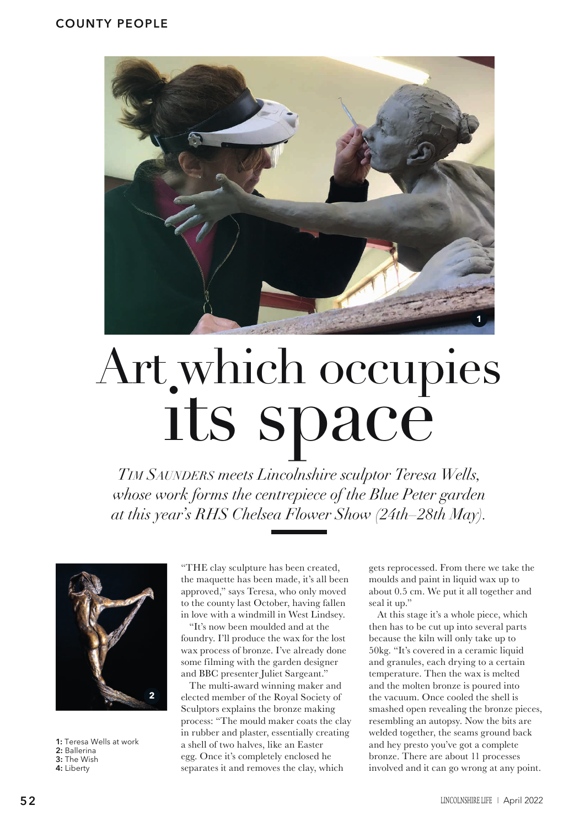

## Art which occupies its space

*Tim Saunders meets Lincolnshire sculptor Teresa Wells, whose work forms the centrepiece of the Blue Peter garden at this year's RHS Chelsea Flower Show (24th–28th May).*



**1:** Teresa Wells at work **2:** Ballerina **3:** The Wish **4:** Liberty

"THE clay sculpture has been created, the maquette has been made, it's all been approved," says Teresa, who only moved to the county last October, having fallen in love with a windmill in West Lindsey.

"It's now been moulded and at the foundry. I'll produce the wax for the lost wax process of bronze. I've already done some filming with the garden designer and BBC presenter Juliet Sargeant."

The multi-award winning maker and elected member of the Royal Society of Sculptors explains the bronze making process: "The mould maker coats the clay in rubber and plaster, essentially creating a shell of two halves, like an Easter egg. Once it's completely enclosed he separates it and removes the clay, which

gets reprocessed. From there we take the moulds and paint in liquid wax up to about 0.5 cm. We put it all together and seal it up."

At this stage it's a whole piece, which then has to be cut up into several parts because the kiln will only take up to 50kg. "It's covered in a ceramic liquid and granules, each drying to a certain temperature. Then the wax is melted and the molten bronze is poured into the vacuum. Once cooled the shell is smashed open revealing the bronze pieces, resembling an autopsy. Now the bits are welded together, the seams ground back and hey presto you've got a complete bronze. There are about 11 processes involved and it can go wrong at any point.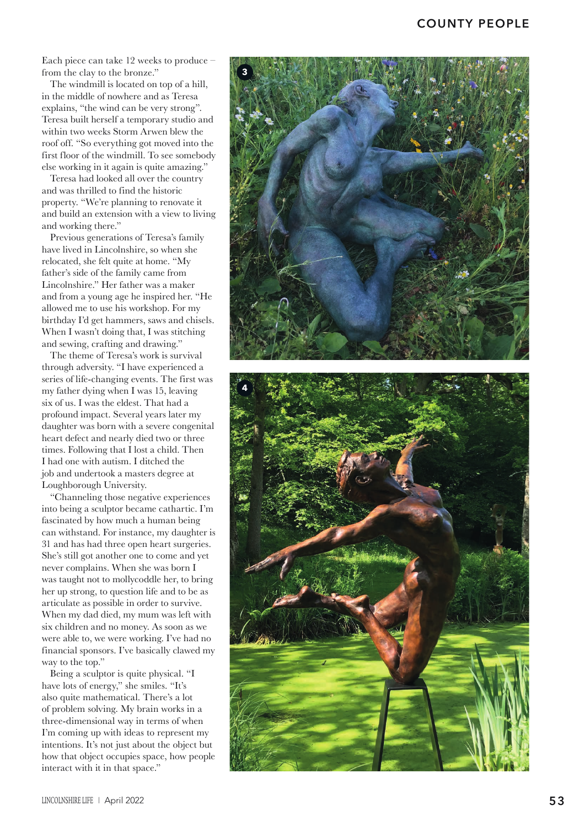## **COUNTY PEOPLE**

Each piece can take 12 weeks to produce – from the clay to the bronze."

The windmill is located on top of a hill, in the middle of nowhere and as Teresa explains, "the wind can be very strong". Teresa built herself a temporary studio and within two weeks Storm Arwen blew the roof off. "So everything got moved into the first floor of the windmill. To see somebody else working in it again is quite amazing."

Teresa had looked all over the country and was thrilled to find the historic property. "We're planning to renovate it and build an extension with a view to living and working there."

Previous generations of Teresa's family have lived in Lincolnshire, so when she relocated, she felt quite at home. "My father's side of the family came from Lincolnshire." Her father was a maker and from a young age he inspired her. "He allowed me to use his workshop. For my birthday I'd get hammers, saws and chisels. When I wasn't doing that, I was stitching and sewing, crafting and drawing."

The theme of Teresa's work is survival through adversity. "I have experienced a series of life-changing events. The first was my father dying when I was 15, leaving six of us. I was the eldest. That had a profound impact. Several years later my daughter was born with a severe congenital heart defect and nearly died two or three times. Following that I lost a child. Then I had one with autism. I ditched the job and undertook a masters degree at Loughborough University.

"Channeling those negative experiences into being a sculptor became cathartic. I'm fascinated by how much a human being can withstand. For instance, my daughter is 31 and has had three open heart surgeries. She's still got another one to come and yet never complains. When she was born I was taught not to mollycoddle her, to bring her up strong, to question life and to be as articulate as possible in order to survive. When my dad died, my mum was left with six children and no money. As soon as we were able to, we were working. I've had no financial sponsors. I've basically clawed my way to the top."

Being a sculptor is quite physical. "I have lots of energy," she smiles. "It's also quite mathematical. There's a lot of problem solving. My brain works in a three-dimensional way in terms of when I'm coming up with ideas to represent my intentions. It's not just about the object but how that object occupies space, how people interact with it in that space."